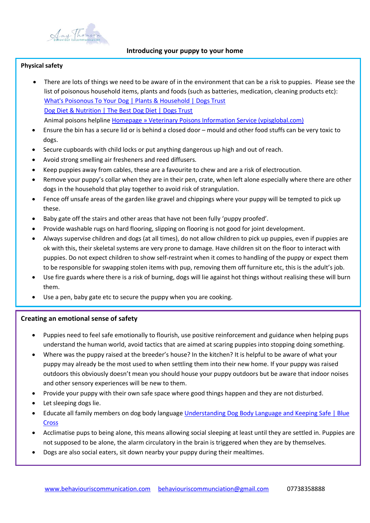

# **Introducing your puppy to your home**

## **Physical safety**

- There are lots of things we need to be aware of in the environment that can be a risk to puppies. Please see the list of poisonous household items, plants and foods (such as batteries, medication, cleaning products etc): [What's Poisonous To Your Dog | Plants & Household | Dogs Trust](https://www.dogstrust.org.uk/help-advice/dog-care/what-is-poisonous-to-your-dog) [Dog Diet & Nutrition | The Best Dog Diet | Dogs Trust](https://www.dogstrust.org.uk/help-advice/dog-care/diet-and-nutrition) Animal poisons helpline [Homepage » Veterinary Poisons Information Service \(vpisglobal.com\)](https://www.vpisglobal.com/)
- Ensure the bin has a secure lid or is behind a closed door mould and other food stuffs can be very toxic to dogs.
- Secure cupboards with child locks or put anything dangerous up high and out of reach.
- Avoid strong smelling air fresheners and reed diffusers.
- Keep puppies away from cables, these are a favourite to chew and are a risk of electrocution.
- Remove your puppy's collar when they are in their pen, crate, when left alone especially where there are other dogs in the household that play together to avoid risk of strangulation.
- Fence off unsafe areas of the garden like gravel and chippings where your puppy will be tempted to pick up these.
- Baby gate off the stairs and other areas that have not been fully 'puppy proofed'.
- Provide washable rugs on hard flooring, slipping on flooring is not good for joint development.
- Always supervise children and dogs (at all times), do not allow children to pick up puppies, even if puppies are ok with this, their skeletal systems are very prone to damage. Have children sit on the floor to interact with puppies. Do not expect children to show self-restraint when it comes to handling of the puppy or expect them to be responsible for swapping stolen items with pup, removing them off furniture etc, this is the adult's job.
- Use fire guards where there is a risk of burning, dogs will lie against hot things without realising these will burn them.
- Use a pen, baby gate etc to secure the puppy when you are cooking.

# **Creating an emotional sense of safety**

- Puppies need to feel safe emotionally to flourish, use positive reinforcement and guidance when helping pups understand the human world, avoid tactics that are aimed at scaring puppies into stopping doing something.
- Where was the puppy raised at the breeder's house? In the kitchen? It is helpful to be aware of what your puppy may already be the most used to when settling them into their new home. If your puppy was raised outdoors this obviously doesn't mean you should house your puppy outdoors but be aware that indoor noises and other sensory experiences will be new to them.
- Provide your puppy with their own safe space where good things happen and they are not disturbed.
- Let sleeping dogs lie.
- Educate all family members on dog body language [Understanding Dog Body Language and Keeping Safe | Blue](https://www.bluecross.org.uk/advice/dog/be-safe-with-dogs)  [Cross](https://www.bluecross.org.uk/advice/dog/be-safe-with-dogs)
- Acclimatise pups to being alone, this means allowing social sleeping at least until they are settled in. Puppies are not supposed to be alone, the alarm circulatory in the brain is triggered when they are by themselves.
- Dogs are also social eaters, sit down nearby your puppy during their mealtimes.